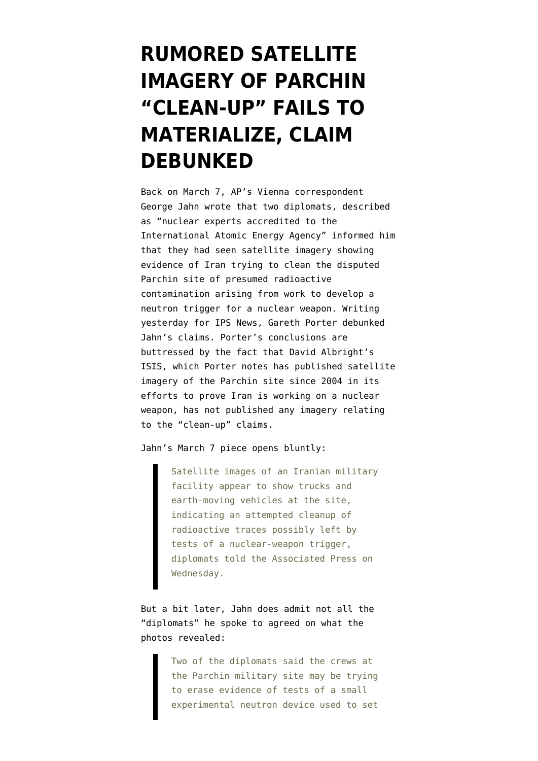## **[RUMORED SATELLITE](https://www.emptywheel.net/2012/03/13/rumored-satellite-imagery-of-parchin-clean-up-fails-to-materialize-claim-debunked/) [IMAGERY OF PARCHIN](https://www.emptywheel.net/2012/03/13/rumored-satellite-imagery-of-parchin-clean-up-fails-to-materialize-claim-debunked/) ["CLEAN-UP" FAILS TO](https://www.emptywheel.net/2012/03/13/rumored-satellite-imagery-of-parchin-clean-up-fails-to-materialize-claim-debunked/) [MATERIALIZE, CLAIM](https://www.emptywheel.net/2012/03/13/rumored-satellite-imagery-of-parchin-clean-up-fails-to-materialize-claim-debunked/) [DEBUNKED](https://www.emptywheel.net/2012/03/13/rumored-satellite-imagery-of-parchin-clean-up-fails-to-materialize-claim-debunked/)**

Back on March 7, AP's Vienna correspondent [George Jahn wrote](http://www.usatoday.com/news/world/story/2012-03-07/iran-nuclear-spy-clean-up/53400694/1) that two diplomats, described as "nuclear experts accredited to the International Atomic Energy Agency" informed him that they had seen satellite imagery showing evidence of Iran trying to clean the disputed Parchin site of presumed radioactive contamination arising from work to develop a neutron trigger for a nuclear weapon. Writing yesterday for [IPS News, Gareth Porter debunked](http://ipsnews.net/news.asp?idnews=107036) Jahn's claims. Porter's conclusions are buttressed by the fact that David Albright's ISIS, which Porter notes has published satellite imagery of the Parchin site since 2004 in its efforts to prove Iran is working on a nuclear weapon, has not published any imagery relating to the "clean-up" claims.

Jahn's March 7 piece opens bluntly:

Satellite images of an Iranian military facility appear to show trucks and earth-moving vehicles at the site, indicating an attempted cleanup of radioactive traces possibly left by tests of a nuclear-weapon trigger, diplomats told the Associated Press on Wednesday.

But a bit later, Jahn does admit not all the "diplomats" he spoke to agreed on what the photos revealed:

> Two of the diplomats said the crews at the Parchin military site may be trying to erase evidence of tests of a small experimental neutron device used to set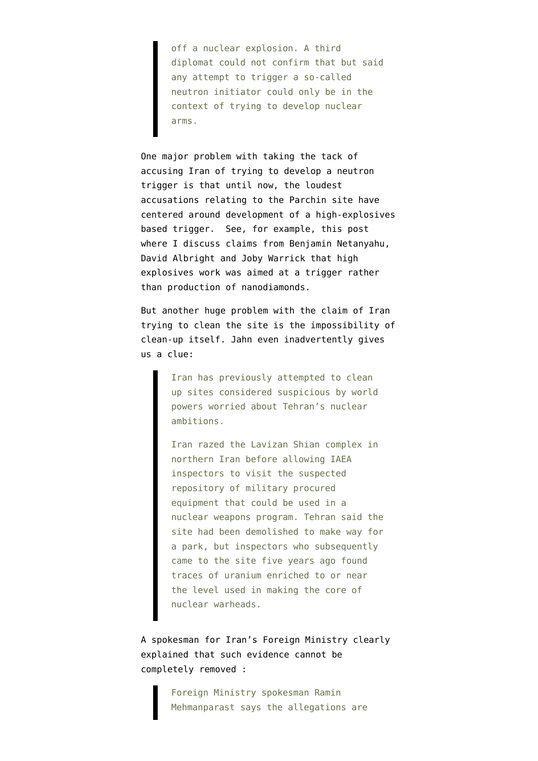off a nuclear explosion. A third diplomat could not confirm that but said any attempt to trigger a so-called neutron initiator could only be in the context of trying to develop nuclear arms.

One major problem with taking the tack of accusing Iran of trying to develop a neutron trigger is that until now, the loudest accusations relating to the Parchin site have centered around development of a high-explosives based trigger. See, for example, [this post](http://www.emptywheel.net/2011/11/14/bibi-albright-and-warrick-on-iran-nuke-report-but-wait-theres-more/) where I discuss claims from Benjamin Netanyahu, David Albright and Joby Warrick that high explosives work was aimed at a trigger rather than production of nanodiamonds.

But another huge problem with the claim of Iran trying to clean the site is the impossibility of clean-up itself. Jahn even inadvertently gives us a clue:

> Iran has previously attempted to clean up sites considered suspicious by world powers worried about Tehran's nuclear ambitions.

Iran razed the Lavizan Shian complex in northern Iran before allowing IAEA inspectors to visit the suspected repository of military procured equipment that could be used in a nuclear weapons program. Tehran said the site had been demolished to make way for a park, but inspectors who subsequently came to the site five years ago found traces of uranium enriched to or near the level used in making the core of nuclear warheads.

A spokesman for Iran's Foreign Ministry [clearly](http://www.washingtonpost.com/world/middle_east/iran-rejects-claims-of-cleaning-up-secret-nuclear-works-at-military-site/2012/03/13/gIQAFOb38R_story.html) [explained that such evidence cannot be](http://www.washingtonpost.com/world/middle_east/iran-rejects-claims-of-cleaning-up-secret-nuclear-works-at-military-site/2012/03/13/gIQAFOb38R_story.html) [completely removed](http://www.washingtonpost.com/world/middle_east/iran-rejects-claims-of-cleaning-up-secret-nuclear-works-at-military-site/2012/03/13/gIQAFOb38R_story.html) :

> Foreign Ministry spokesman Ramin Mehmanparast says the allegations are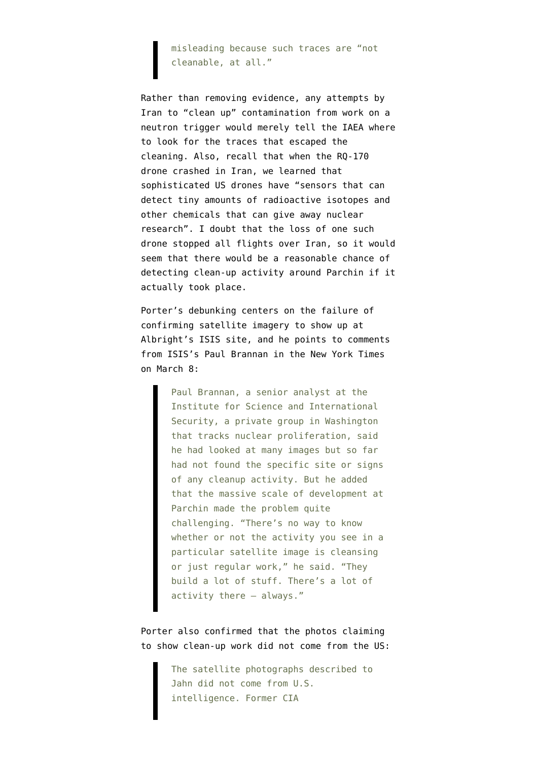misleading because such traces are "not cleanable, at all."

Rather than removing evidence, any attempts by Iran to "clean up" contamination from work on a neutron trigger would merely tell the IAEA where to look for the traces that escaped the cleaning. Also, recall that [when the RQ-170](http://www.nytimes.com/2011/12/08/world/middleeast/drone-crash-in-iran-reveals-secret-us-surveillance-bid.html) [drone crashed in Iran](http://www.nytimes.com/2011/12/08/world/middleeast/drone-crash-in-iran-reveals-secret-us-surveillance-bid.html), we learned that sophisticated US drones have "sensors that can detect tiny amounts of radioactive isotopes and other chemicals that can give away nuclear research". I doubt that the loss of one such drone stopped all flights over Iran, so it would seem that there would be a reasonable chance of detecting clean-up activity around Parchin if it actually took place.

Porter's debunking centers on the failure of confirming satellite imagery to show up at [Albright's ISIS](http://isis-online.org/isis-reports/imagery/category/iran/) site, and he points to comments from ISIS's [Paul Brannan in the New York Times](http://www.nytimes.com/2012/03/09/world/middleeast/iran-pressed-to-give-nuclear-inspectors-full-access-to-sites.html) [on March 8:](http://www.nytimes.com/2012/03/09/world/middleeast/iran-pressed-to-give-nuclear-inspectors-full-access-to-sites.html)

> Paul Brannan, a senior analyst at the Institute for Science and International Security, a private group in Washington that tracks nuclear proliferation, said he had looked at many images but so far had not found the specific site or signs of any cleanup activity. But he added that the massive scale of development at Parchin made the problem quite challenging. "There's no way to know whether or not the activity you see in a particular satellite image is cleansing or just regular work," he said. "They build a lot of stuff. There's a lot of activity there — always."

Porter also confirmed that the photos claiming to show clean-up work did not come from the US:

> The satellite photographs described to Jahn did not come from U.S. intelligence. Former CIA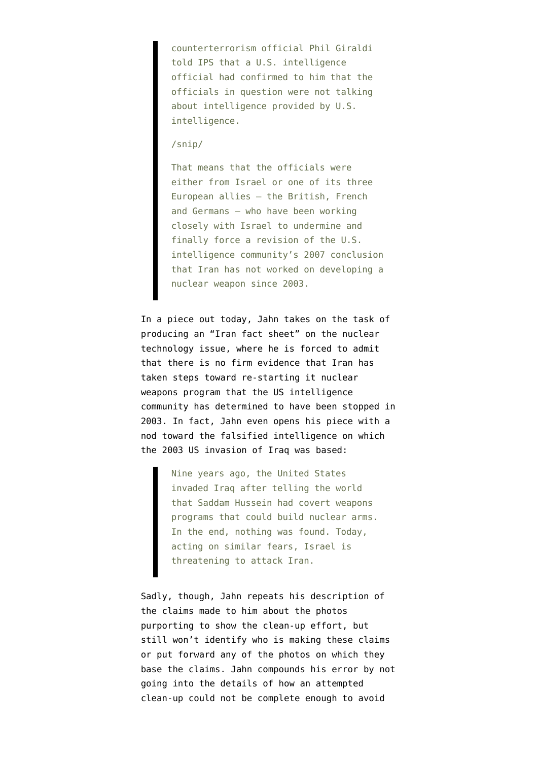counterterrorism official Phil Giraldi told IPS that a U.S. intelligence official had confirmed to him that the officials in question were not talking about intelligence provided by U.S. intelligence.

## /snip/

That means that the officials were either from Israel or one of its three European allies – the British, French and Germans – who have been working closely with Israel to undermine and finally force a revision of the U.S. intelligence community's 2007 conclusion that Iran has not worked on developing a nuclear weapon since 2003.

In a piece out today, Jahn takes on the task of producing an ["Iran fact sheet](http://www.washingtonpost.com/world/middle_east/iran-fact-sheet-nuclear-advances-but-no-confirmed-weapon-steps-despite-suspicions/2012/03/10/gIQAFa5G3R_story_2.html)" on the nuclear technology issue, where he is forced to admit that there is no firm evidence that Iran has taken steps toward re-starting it nuclear weapons program that the US intelligence community has determined to have been stopped in 2003. In fact, Jahn even opens his piece with a nod toward the falsified intelligence on which the 2003 US invasion of Iraq was based:

> Nine years ago, the United States invaded Iraq after telling the world that Saddam Hussein had covert weapons programs that could build nuclear arms. In the end, nothing was found. Today, acting on similar fears, Israel is threatening to attack Iran.

Sadly, though, Jahn repeats his description of the claims made to him about the photos purporting to show the clean-up effort, but still won't identify who is making these claims or put forward any of the photos on which they base the claims. Jahn compounds his error by not going into the details of how an attempted clean-up could not be complete enough to avoid